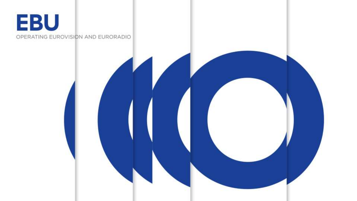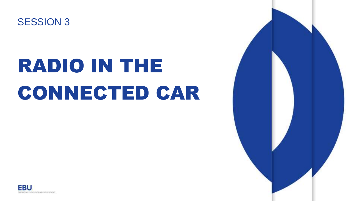

## RADIO IN THE CONNECTED CAR



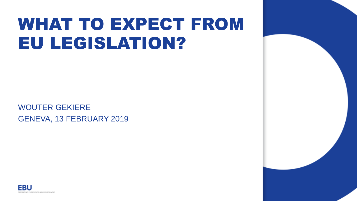## WHAT TO EXPECT FROM EU LEGISLATION?

WOUTER GEKIERE GENEVA, 13 FEBRUARY 2019



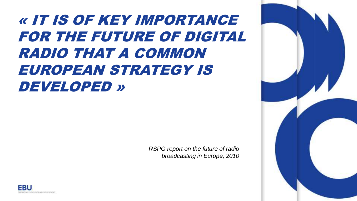### « IT IS OF KEY IMPORTANCE FOR THE FUTURE OF DIGITAL RADIO THAT A COMMON EUROPEAN STRATEGY IS DEVELOPED »

*RSPG report on the future of radio broadcasting in Europe, 2010*



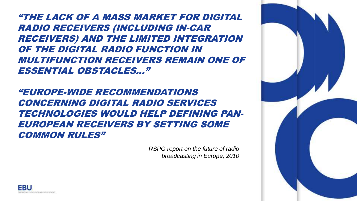"THE LACK OF A MASS MARKET FOR DIGITAL RADIO RECEIVERS (INCLUDING IN-CAR RECEIVERS) AND THE LIMITED INTEGRATION OF THE DIGITAL RADIO FUNCTION IN MULTIFUNCTION RECEIVERS REMAIN ONE OF ESSENTIAL OBSTACLES..."

"EUROPE-WIDE RECOMMENDATIONS CONCERNING DIGITAL RADIO SERVICES TECHNOLOGIES WOULD HELP DEFINING PAN-EUROPEAN RECEIVERS BY SETTING SOME COMMON RULES"

> *RSPG report on the future of radio broadcasting in Europe, 2010*



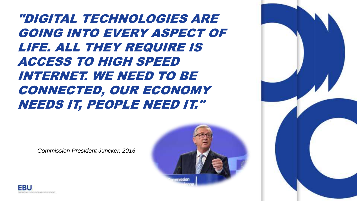"DIGITAL TECHNOLOGIES ARE GOING INTO EVERY ASPECT OF LIFE. ALL THEY REQUIRE IS ACCESS TO HIGH SPEED INTERNET. WE NEED TO BE CONNECTED, OUR ECONOMY NEEDS IT, PEOPLE NEED IT."





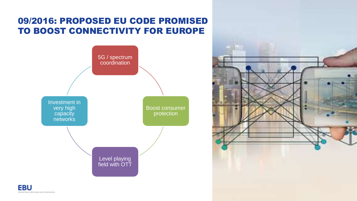#### 09/2016: PROPOSED EU CODE PROMISED TO BOOST CONNECTIVITY FOR EUROPE



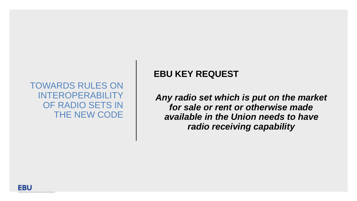#### TOWARDS RULES ON INTEROPERABILITY OF RADIO SETS IN THE NEW CODE

#### **EBU KEY REQUEST**

*Any radio set which is put on the market for sale or rent or otherwise made available in the Union needs to have radio receiving capability* 

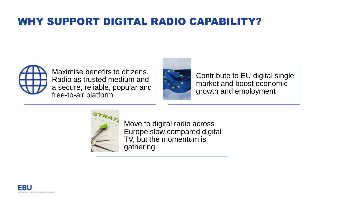#### WHY SUPPORT DIGITAL RADIO CAPABILITY?



Maximise benefits to citizens. Radio as trusted medium and a secure, reliable, popular and free-to-air platform



Contribute to EU digital single market and boost economic growth and employment



Move to digital radio across Europe slow compared digital TV, but the momentum is gathering

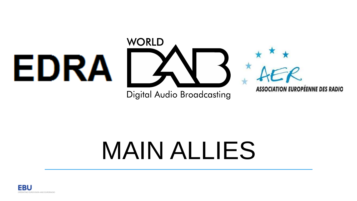

**Digital Audio Broadcasting** 

**ASSOCIATION EUROPÉENNE DES RADIO** 

# MAIN ALLIES

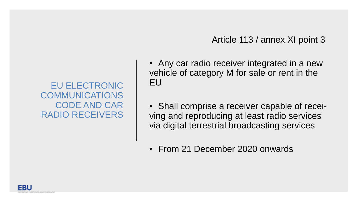Article 113 / annex XI point 3

• Any car radio receiver integrated in a new vehicle of category M for sale or rent in the EU

• Shall comprise a receiver capable of receiving and reproducing at least radio services via digital terrestrial broadcasting services

• From 21 December 2020 onwards

EU ELECTRONIC COMMUNICATIONS CODE AND CAR RADIO RECEIVERS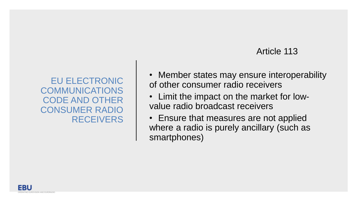#### Article 113

EU ELECTRONIC COMMUNICATIONS CODE AND OTHER CONSUMER RADIO RECEIVERS • Member states may ensure interoperability of other consumer radio receivers

- Limit the impact on the market for lowvalue radio broadcast receivers
- Ensure that measures are not applied where a radio is purely ancillary (such as smartphones)